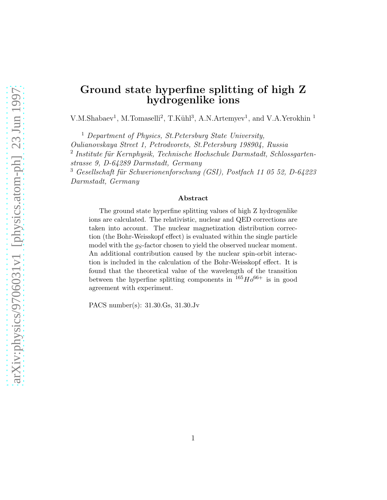### Ground state hyperfine splitting of high Z hydrogenlike ions

V.M.Shabaev<sup>1</sup>, M.Tomaselli<sup>2</sup>, T.Kühl<sup>3</sup>, A.N.Artemyev<sup>1</sup>, and V.A.Yerokhin<sup>1</sup>

<sup>1</sup> Department of Physics, St. Petersburg State University,

Oulianovskaya Street 1, Petrodvorets, St.Petersburg 198904, Russia

<sup>2</sup> Institute für Kernphysik, Technische Hochschule Darmstadt, Schlossgarten-

strasse 9, D-64289 Darmstadt, Germany

 $3$  Gesellschaft für Schwerionenforschung (GSI), Postfach 11 05 52, D-64223 Darmstadt, Germany

#### Abstract

The ground state hyperfine splitting values of high Z hydrogenlike ions are calculated. The relativistic, nuclear and QED corrections are taken into account. The nuclear magnetization distribution correction (the Bohr-Weisskopf effect) is evaluated within the single particle model with the  $g_S$ -factor chosen to yield the observed nuclear moment. An additional contribution caused by the nuclear spin-orbit interaction is included in the calculation of the Bohr-Weisskopf effect. It is found that the theoretical value of the wavelength of the transition between the hyperfine splitting components in  $165Ho^{66+}$  is in good agreement with experiment.

PACS number(s): 31.30.Gs, 31.30.Jv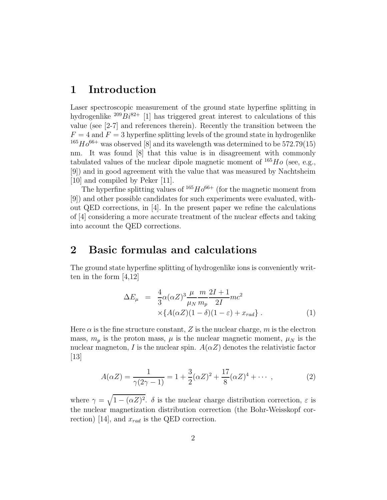#### 1 Introduction

Laser spectroscopic measurement of the ground state hyperfine splitting in hydrogenlike  $^{209}Bi^{82+}$  [1] has triggered great interest to calculations of this value (see [2-7] and references therein). Recently the transition between the  $F = 4$  and  $F = 3$  hyperfine splitting levels of the ground state in hydrogenlike  $165Ho^{66+}$  was observed [8] and its wavelength was determined to be 572.79(15) nm. It was found [8] that this value is in disagreement with commonly tabulated values of the nuclear dipole magnetic moment of  $^{165}Ho$  (see, e.g., [9]) and in good agreement with the value that was measured by Nachtsheim [10] and compiled by Peker [11].

The hyperfine splitting values of  $165Ho^{66+}$  (for the magnetic moment from [9]) and other possible candidates for such experiments were evaluated, without QED corrections, in [4]. In the present paper we refine the calculations of [4] considering a more accurate treatment of the nuclear effects and taking into account the QED corrections.

#### 2 Basic formulas and calculations

The ground state hyperfine splitting of hydrogenlike ions is conveniently written in the form [4,12]

$$
\Delta E_{\mu} = \frac{4}{3} \alpha (\alpha Z)^3 \frac{\mu}{\mu_N} \frac{m}{m_p} \frac{2I + 1}{2I} mc^2
$$
  
 
$$
\times \{ A(\alpha Z)(1 - \delta)(1 - \varepsilon) + x_{rad} \} .
$$
 (1)

Here  $\alpha$  is the fine structure constant, Z is the nuclear charge, m is the electron mass,  $m_p$  is the proton mass,  $\mu$  is the nuclear magnetic moment,  $\mu_N$  is the nuclear magneton, I is the nuclear spin.  $A(\alpha Z)$  denotes the relativistic factor [13]

$$
A(\alpha Z) = \frac{1}{\gamma(2\gamma - 1)} = 1 + \frac{3}{2}(\alpha Z)^2 + \frac{17}{8}(\alpha Z)^4 + \cdots,
$$
 (2)

where  $\gamma = \sqrt{1 - (\alpha Z)^2}$ .  $\delta$  is the nuclear charge distribution correction,  $\varepsilon$  is the nuclear magnetization distribution correction (the Bohr-Weisskopf correction) [14], and  $x_{rad}$  is the QED correction.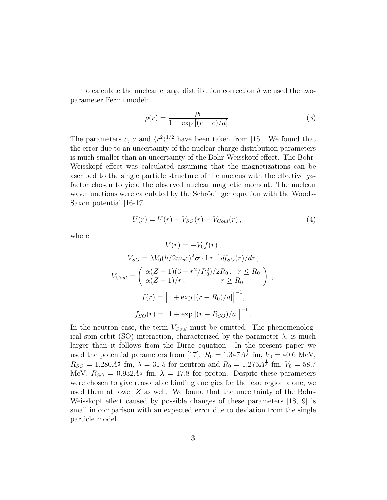To calculate the nuclear charge distribution correction  $\delta$  we used the twoparameter Fermi model:

$$
\rho(r) = \frac{\rho_0}{1 + \exp\left[ (r - c)/a \right]}
$$
\n(3)

The parameters c, a and  $\langle r^2 \rangle^{1/2}$  have been taken from [15]. We found that the error due to an uncertainty of the nuclear charge distribution parameters is much smaller than an uncertainty of the Bohr-Weisskopf effect. The Bohr-Weisskopf effect was calculated assuming that the magnetizations can be ascribed to the single particle structure of the nucleus with the effective  $g_{S}$ factor chosen to yield the observed nuclear magnetic moment. The nucleon wave functions were calculated by the Schrödinger equation with the Woods-Saxon potential  $|16-17|$ 

$$
U(r) = V(r) + V_{SO}(r) + V_{Coul}(r) , \qquad (4)
$$

where

$$
V(r) = -V_0 f(r),
$$
  
\n
$$
V_{SO} = \lambda V_0 (\hbar / 2m_p c)^2 \sigma \cdot 1 r^{-1} df_{SO}(r) / dr,
$$
  
\n
$$
V_{Coul} = \begin{pmatrix} \alpha (Z - 1)(3 - r^2 / R_0^2) / 2R_0, & r \le R_0 \\ \alpha (Z - 1) / r, & r \ge R_0 \end{pmatrix},
$$
  
\n
$$
f(r) = \left[1 + \exp [(r - R_0) / a]\right]^{-1},
$$
  
\n
$$
f_{SO}(r) = \left[1 + \exp [(r - R_{SO}) / a]\right]^{-1}.
$$

In the neutron case, the term  $V_{Coul}$  must be omitted. The phenomenological spin-orbit (SO) interaction, characterized by the parameter  $\lambda$ , is much larger than it follows from the Dirac equation. In the present paper we used the potential parameters from [17]:  $R_0 = 1.347 A^{\frac{1}{3}}$  fm,  $V_0 = 40.6$  MeV,  $R_{SO} = 1.280 A^{\frac{1}{3}}$  fm,  $\lambda = 31.5$  for neutron and  $R_0 = 1.275 A^{\frac{1}{3}}$  fm,  $V_0 = 58.7$ MeV,  $R_{SO} = 0.932 A^{\frac{1}{3}}$  fm,  $\lambda = 17.8$  for proton. Despite these parameters were chosen to give reasonable binding energies for the lead region alone, we used them at lower Z as well. We found that the uncertainty of the Bohr-Weisskopf effect caused by possible changes of these parameters [18,19] is small in comparison with an expected error due to deviation from the single particle model.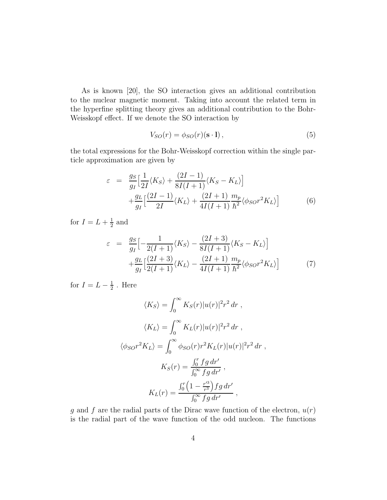As is known [20], the SO interaction gives an additional contribution to the nuclear magnetic moment. Taking into account the related term in the hyperfine splitting theory gives an additional contribution to the Bohr-Weisskopf effect. If we denote the SO interaction by

$$
V_{SO}(r) = \phi_{SO}(r)(\mathbf{s} \cdot \mathbf{l}), \qquad (5)
$$

the total expressions for the Bohr-Weisskopf correction within the single particle approximation are given by

$$
\varepsilon = \frac{g_S}{g_I} \Big[ \frac{1}{2I} \langle K_S \rangle + \frac{(2I - 1)}{8I(I + 1)} \langle K_S - K_L \rangle \Big] + \frac{g_L}{g_I} \Big[ \frac{(2I - 1)}{2I} \langle K_L \rangle + \frac{(2I + 1)}{4I(I + 1)} \frac{m_p}{\hbar^2} \langle \phi_{SO} r^2 K_L \rangle \Big]
$$
(6)

for  $I = L + \frac{1}{2}$  $\frac{1}{2}$  and

$$
\varepsilon = \frac{g_S}{g_I} \Big[ -\frac{1}{2(I+1)} \langle K_S \rangle - \frac{(2I+3)}{8I(I+1)} \langle K_S - K_L \rangle \Big] + \frac{g_L}{g_I} \Big[ \frac{(2I+3)}{2(I+1)} \langle K_L \rangle - \frac{(2I+1)}{4I(I+1)} \frac{m_p}{\hbar^2} \langle \phi_{SO} r^2 K_L \rangle \Big]
$$
(7)

for  $I = L - \frac{1}{2}$  $\frac{1}{2}$ . Here

$$
\langle K_S \rangle = \int_0^\infty K_S(r) |u(r)|^2 r^2 dr ,
$$
  

$$
\langle K_L \rangle = \int_0^\infty K_L(r) |u(r)|^2 r^2 dr ,
$$
  

$$
\langle \phi_{SO} r^2 K_L \rangle = \int_0^\infty \phi_{SO}(r) r^2 K_L(r) |u(r)|^2 r^2 dr ,
$$
  

$$
K_S(r) = \frac{\int_0^r fg dr'}{\int_0^\infty fg dr'},
$$
  

$$
K_L(r) = \frac{\int_0^r \left(1 - \frac{r'^3}{r^3}\right) fg dr'}{\int_0^\infty fg dr'},
$$

g and f are the radial parts of the Dirac wave function of the electron,  $u(r)$ is the radial part of the wave function of the odd nucleon. The functions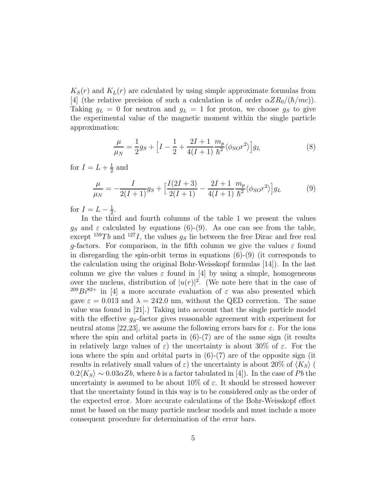$K_S(r)$  and  $K_L(r)$  are calculated by using simple approximate formulas from [4] (the relative precision of such a calculation is of order  $\alpha ZR_0/(\hbar/mc)$ ). Taking  $g_L = 0$  for neutron and  $g_L = 1$  for proton, we choose  $g_S$  to give the experimental value of the magnetic moment within the single particle approximation:

$$
\frac{\mu}{\mu_N} = \frac{1}{2}g_S + \Big[I - \frac{1}{2} + \frac{2I + 1}{4(I+1)}\frac{m_p}{\hbar^2}\langle\phi_{SO}r^2\rangle\Big]g_L\tag{8}
$$

for  $I = L + \frac{1}{2}$  $\frac{1}{2}$  and

$$
\frac{\mu}{\mu_N} = -\frac{I}{2(I+1)}g_S + \Big[\frac{I(2I+3)}{2(I+1)} - \frac{2I+1}{4(I+1)}\frac{m_p}{\hbar^2}\langle\phi_{SO}r^2\rangle\Big]g_L\tag{9}
$$

for  $I = L - \frac{1}{2}$  $\frac{1}{2}$ .

In the third and fourth columns of the table 1 we present the values  $g_S$  and  $\varepsilon$  calculated by equations (6)-(9). As one can see from the table, except  $159Tb$  and  $127I$ , the values  $g_S$  lie between the free Dirac and free real g-factors. For comparison, in the fifth column we give the values  $\varepsilon$  found in disregarding the spin-orbit terms in equations  $(6)-(9)$  (it corresponds to the calculation using the original Bohr-Weisskopf formulas [14]). In the last column we give the values  $\varepsilon$  found in [4] by using a simple, homogeneous over the nucleus, distribution of  $|u(r)|^2$ . (We note here that in the case of <sup>209</sup>Bi<sup>82+</sup> in [4] a more accurate evaluation of  $\varepsilon$  was also presented which gave  $\varepsilon = 0.013$  and  $\lambda = 242.0$  nm, without the QED correction. The same value was found in [21].) Taking into account that the single particle model with the effective  $g_S$ -factor gives reasonable agreement with experiment for neutral atoms [22,23], we assume the following errors bars for  $\varepsilon$ . For the ions where the spin and orbital parts in  $(6)-(7)$  are of the same sign (it results in relatively large values of  $\varepsilon$ ) the uncertainty is about 30% of  $\varepsilon$ . For the ions where the spin and orbital parts in  $(6)-(7)$  are of the opposite sign (it results in relatively small values of  $\varepsilon$ ) the uncertainty is about 20% of  $\langle K_S \rangle$  (  $0.2\langle K_S \rangle \sim 0.03\alpha Zb$ , where b is a factor tabulated in [4]). In the case of Pb the uncertainty is assumed to be about 10% of  $\varepsilon$ . It should be stressed however that the uncertainty found in this way is to be considered only as the order of the expected error. More accurate calculations of the Bohr-Weisskopf effect must be based on the many particle nuclear models and must include a more consequent procedure for determination of the error bars.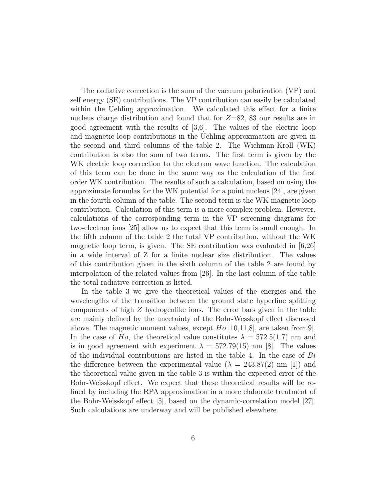The radiative correction is the sum of the vacuum polarization (VP) and self energy (SE) contributions. The VP contribution can easily be calculated within the Uehling approximation. We calculated this effect for a finite nucleus charge distribution and found that for  $Z=82$ , 83 our results are in good agreement with the results of [3,6]. The values of the electric loop and magnetic loop contributions in the Uehling approximation are given in the second and third columns of the table 2. The Wichman-Kroll (WK) contribution is also the sum of two terms. The first term is given by the WK electric loop correction to the electron wave function. The calculation of this term can be done in the same way as the calculation of the first order WK contribution. The results of such a calculation, based on using the approximate formulas for the WK potential for a point nucleus [24], are given in the fourth column of the table. The second term is the WK magnetic loop contribution. Calculation of this term is a more complex problem. However, calculations of the corresponding term in the VP screening diagrams for two-electron ions [25] allow us to expect that this term is small enough. In the fifth column of the table 2 the total VP contribution, without the WK magnetic loop term, is given. The SE contribution was evaluated in [6,26] in a wide interval of Z for a finite nuclear size distribution. The values of this contribution given in the sixth column of the table 2 are found by interpolation of the related values from [26]. In the last column of the table the total radiative correction is listed.

In the table 3 we give the theoretical values of the energies and the wavelengths of the transition between the ground state hyperfine splitting components of high Z hydrogenlike ions. The error bars given in the table are mainly defined by the uncetainty of the Bohr-Wesskopf effect discussed above. The magnetic moment values, except  $Ho [10,11,8]$ , are taken from [9]. In the case of Ho, the theoretical value constitutes  $\lambda = 572.5(1.7)$  nm and is in good agreement with experiment  $\lambda = 572.79(15)$  nm [8]. The values of the individual contributions are listed in the table 4. In the case of  $Bi$ the difference between the experimental value ( $\lambda = 243.87(2)$  nm [1]) and the theoretical value given in the table 3 is within the expected error of the Bohr-Weisskopf effect. We expect that these theoretical results will be refined by including the RPA approximation in a more elaborate treatment of the Bohr-Weisskopf effect [5], based on the dynamic-correlation model [27]. Such calculations are underway and will be published elsewhere.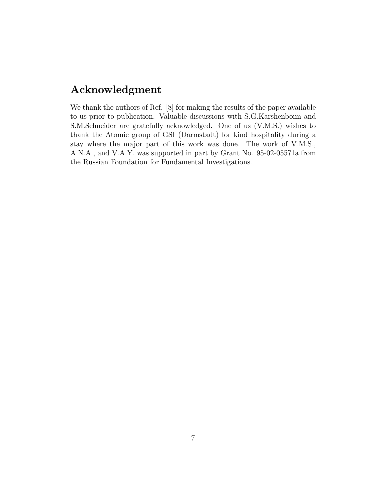## Acknowledgment

We thank the authors of Ref. [8] for making the results of the paper available to us prior to publication. Valuable discussions with S.G.Karshenboim and S.M.Schneider are gratefully acknowledged. One of us (V.M.S.) wishes to thank the Atomic group of GSI (Darmstadt) for kind hospitality during a stay where the major part of this work was done. The work of V.M.S., A.N.A., and V.A.Y. was supported in part by Grant No. 95-02-05571a from the Russian Foundation for Fundamental Investigations.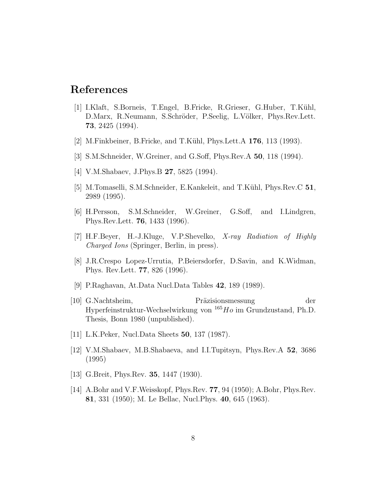# References

- [1] I.Klaft, S.Borneis, T.Engel, B.Fricke, R.Grieser, G.Huber, T.K¨uhl, D.Marx, R.Neumann, S.Schröder, P.Seelig, L.Völker, Phys.Rev.Lett. 73, 2425 (1994).
- [2] M.Finkbeiner, B.Fricke, and T.Kühl, Phys.Lett.A  $176$ , 113 (1993).
- [3] S.M.Schneider, W.Greiner, and G.Soff, Phys.Rev.A 50, 118 (1994).
- [4] V.M.Shabaev, J.Phys.B **27**, 5825 (1994).
- [5] M.Tomaselli, S.M.Schneider, E.Kankeleit, and T.Kühl, Phys.Rev.C 51, 2989 (1995).
- [6] H.Persson, S.M.Schneider, W.Greiner, G.Soff, and I.Lindgren, Phys.Rev.Lett. 76, 1433 (1996).
- [7] H.F.Beyer, H.-J.Kluge, V.P.Shevelko, X-ray Radiation of Highly Charged Ions (Springer, Berlin, in press).
- [8] J.R.Crespo Lopez-Urrutia, P.Beiersdorfer, D.Savin, and K.Widman, Phys. Rev.Lett. 77, 826 (1996).
- [9] P.Raghavan, At.Data Nucl.Data Tables 42, 189 (1989).
- [10] G.Nachtsheim, Präzisionsmessung der Hyperfeinstruktur-Wechselwirkung von <sup>165</sup>Ho im Grundzustand, Ph.D. Thesis, Bonn 1980 (unpublished).
- [11] L.K.Peker, Nucl.Data Sheets 50, 137 (1987).
- [12] V.M.Shabaev, M.B.Shabaeva, and I.I.Tupitsyn, Phys.Rev.A 52, 3686 (1995)
- [13] G.Breit, Phys.Rev. **35**, 1447 (1930).
- [14] A.Bohr and V.F.Weisskopf, Phys.Rev. 77, 94 (1950); A.Bohr, Phys.Rev. 81, 331 (1950); M. Le Bellac, Nucl.Phys. 40, 645 (1963).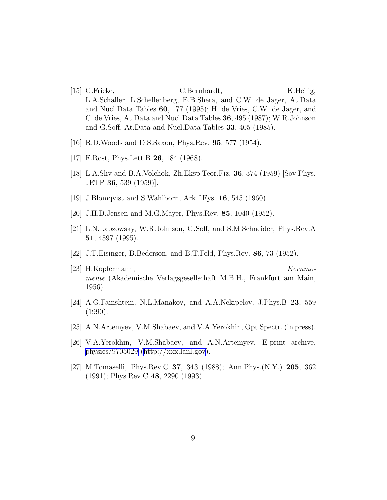- [15] G.Fricke, C.Bernhardt, K.Heilig, L.A.Schaller, L.Schellenberg, E.B.Shera, and C.W. de Jager, At.Data and Nucl.Data Tables 60, 177 (1995); H. de Vries, C.W. de Jager, and C. de Vries, At.Data and Nucl.Data Tables 36, 495 (1987); W.R.Johnson and G.Soff, At.Data and Nucl.Data Tables 33, 405 (1985).
- [16] R.D.Woods and D.S.Saxon, Phys.Rev. 95, 577 (1954).
- [17] E.Rost, Phys.Lett.B 26, 184 (1968).
- [18] L.A.Sliv and B.A.Volchok, Zh.Eksp.Teor.Fiz. 36, 374 (1959) [Sov.Phys. JETP 36, 539 (1959)].
- [19] J.Blomqvist and S.Wahlborn, Ark.f.Fys. 16, 545 (1960).
- [20] J.H.D.Jensen and M.G.Mayer, Phys.Rev. 85, 1040 (1952).
- [21] L.N.Labzowsky, W.R.Johnson, G.Soff, and S.M.Schneider, Phys.Rev.A 51, 4597 (1995).
- [22] J.T.Eisinger, B.Bederson, and B.T.Feld, Phys.Rev. 86, 73 (1952).
- [23] H.Kopfermann, Kernmomente (Akademische Verlagsgesellschaft M.B.H., Frankfurt am Main, 1956).
- [24] A.G.Fainshtein, N.L.Manakov, and A.A.Nekipelov, J.Phys.B 23, 559 (1990).
- [25] A.N.Artemyev, V.M.Shabaev, and V.A.Yerokhin, Opt.Spectr. (in press).
- [26] V.A.Yerokhin, V.M.Shabaev, and A.N.Artemyev, E-print archive, [physics/9705029](http://arxiv.org/abs/physics/9705029) [\(http://xxx.lanl.gov](http://xxx.lanl.gov)).
- [27] M.Tomaselli, Phys.Rev.C 37, 343 (1988); Ann.Phys.(N.Y.) 205, 362 (1991); Phys.Rev.C 48, 2290 (1993).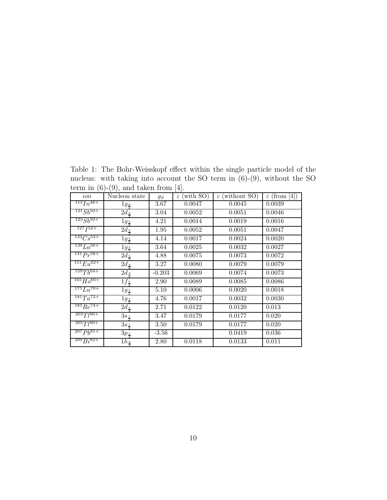Table 1: The Bohr-Weisskopf effect within the single particle model of the nucleus: with taking into account the SO term in (6)-(9), without the SO term in  $(6)-(9)$ , and taken from [4].

| ion              | Nucleon state      | $g_S$             | $\overline{\varepsilon}$ (with SO) | $\varepsilon$ (without SO) | $\varepsilon$ (from [4]) |
|------------------|--------------------|-------------------|------------------------------------|----------------------------|--------------------------|
| $^{113}In^{48+}$ | $1g_{\frac{9}{2}}$ | 3.67              | 0.0047                             | 0.0045                     | 0.0039                   |
| $^{121}Sb^{50+}$ | $2d_{\frac{5}{8}}$ | 3.04              | 0.0052                             | 0.0051                     | 0.0046                   |
| $^{123}Sb^{50+}$ | $1g_{\frac{7}{2}}$ | 4.21              | 0.0014                             | 0.0019                     | 0.0016                   |
| $^{127}I^{52+}$  | $2d_{\frac{5}{2}}$ | 1.95              | 0.0052                             | 0.0051                     | 0.0047                   |
| $^{133}Cs^{54+}$ | $1g_{\frac{7}{2}}$ | 4.14              | 0.0017                             | 0.0024                     | 0.0020                   |
| $^{139}La^{56+}$ | $1g_{\frac{7}{2}}$ | 3.64              | 0.0025                             | 0.0032                     | 0.0027                   |
| $^{141}Pr^{58+}$ | $2d_5$             | 4.88              | 0.0075                             | 0.0073                     | 0.0072                   |
| $^{151}Eu^{62+}$ | $2d_{\frac{5}{2}}$ | 3.27              | 0.0080                             | 0.0079                     | 0.0079                   |
| $^{159}Tb^{64+}$ | $2d_3$             | $-0.203$          | 0.0069                             | 0.0074                     | 0.0073                   |
| $^{165}Ho^{66+}$ | $1f_{\frac{7}{2}}$ | 2.90              | 0.0089                             | 0.0085                     | 0.0086                   |
| $^{175}Lu^{70+}$ | $1g_{\frac{7}{2}}$ | 5.10              | 0.0006                             | 0.0020                     | 0.0018                   |
| $^{181}Ta^{72+}$ | $1g_{\frac{7}{2}}$ | 4.76              | 0.0017                             | 0.0032                     | 0.0030                   |
| $^{185}Re^{74+}$ | $2d_{\frac{5}{8}}$ | 2.71              | 0.0122                             | 0.0120                     | 0.013                    |
| $2037180 +$      | $3s_1$             | 3.47              | 0.0179                             | 0.0177                     | 0.020                    |
| $^{205}Ti^{80+}$ | $3s_{\frac{1}{2}}$ | 3.50              | 0.0179                             | 0.0177                     | 0.020                    |
| $^{207}Pb^{81+}$ | $3p_{\frac{1}{2}}$ | $-3.56$           |                                    | 0.0419                     | 0.036                    |
| $^{209}Bi^{82+}$ | $1h_{\frac{9}{2}}$ | $\overline{2.80}$ | 0.0118                             | 0.0133                     | 0.011                    |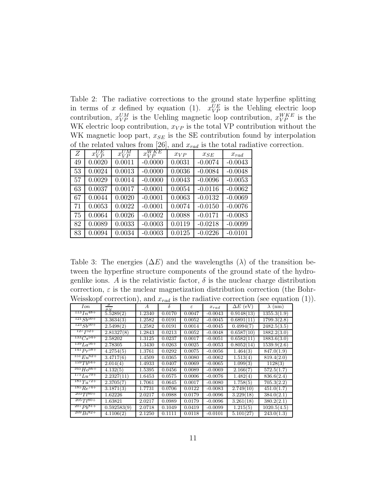Table 2: The radiative corrections to the ground state hyperfine splitting in terms of x defined by equation (1).  $x_{VP}^{UE}$  is the Uehling electric loop contribution,  $x_{VP}^{UM}$  is the Uehling magnetic loop contribution,  $x_{VP}^{WKE}$  is the WK electric loop contribution,  $x_{VP}$  is the total VP contribution without the WK magnetic loop part,  $x_{SE}$  is the SE contribution found by interpolation of the related values from [26], and  $x_{rad}$  is the total radiative correction.

| Ζ  | $x_{VP}^{UE}$ | $x_{VP}^{UM}$ | $x_{VP}^{WKE}$ | $x_{VP}$ | $x_{SE}$  | $x_{rad}$ |
|----|---------------|---------------|----------------|----------|-----------|-----------|
| 49 | 0.0020        | 0.0011        | $-0.0000$      | 0.0031   | $-0.0074$ | $-0.0043$ |
| 53 | 0.0024        | 0.0013        | $-0.0000$      | 0.0036   | $-0.0084$ | $-0.0048$ |
| 57 | 0.0029        | 0.0014        | $-0.0000$      | 0.0043   | $-0.0096$ | $-0.0053$ |
| 63 | 0.0037        | 0.0017        | $-0.0001$      | 0.0054   | $-0.0116$ | $-0.0062$ |
| 67 | 0.0044        | 0.0020        | $-0.0001$      | 0.0063   | $-0.0132$ | $-0.0069$ |
| 71 | 0.0053        | 0.0022        | $-0.0001$      | 0.0074   | $-0.0150$ | $-0.0076$ |
| 75 | 0.0064        | 0.0026        | $-0.0002$      | 0.0088   | $-0.0171$ | $-0.0083$ |
| 82 | 0.0089        | 0.0033        | $-0.0003$      | 0.0119   | $-0.0218$ | $-0.0099$ |
| 83 | 0.0094        | 0.0034        | $-0.0003$      | 0.0125   | $-0.0226$ | $-0.0101$ |

Table 3: The energies ( $\Delta E$ ) and the wavelengths ( $\lambda$ ) of the transition between the hyperfine structure components of the ground state of the hydrogenlike ions. A is the relativistic factor,  $\delta$  is the nuclear charge distribution correction,  $\varepsilon$  is the nuclear magnetization distribution correction (the Bohr-Weisskopf correction), and  $x_{rad}$  is the radiative correction (see equation (1)).

| Ion                       | $\mu$<br>$\mu_{N}$ | $\mathcal{A}$ | δ      | $\varepsilon$ | $x_{rad}$ | $\Delta E$ (eV) | $\lambda$ (nm) |
|---------------------------|--------------------|---------------|--------|---------------|-----------|-----------------|----------------|
| $113 \overline{In^{48+}}$ | 5.5289(2)          | 1.2340        | 0.0170 | 0.0047        | $-0.0043$ | 0.9148(13)      | 1355.3(1.9)    |
| $121\ g_{b}50+$           | 3.3634(3)          | 1.2582        | 0.0191 | 0.0052        | $-0.0045$ | 0.6891(11)      | 1799.3(2.8)    |
| $123\ g_{b}50+$           | 2.5498(2)          | 1.2582        | 0.0191 | 0.0014        | $-0.0045$ | 0.4994(7)       | 2482.5(3.5)    |
| 127 752+                  | 2.81327(8)         | 1.2843        | 0.0213 | 0.0052        | $-0.0048$ | 0.6587(10)      | 1882.2(3.0)    |
| $^{133}Cs^{54+}$          | 2.58202            | 1.3125        | 0.0237 | 0.0017        | $-0.0051$ | 0.6582(11)      | 1883.6(3.0)    |
| $139 L a^{56+}$           | 2.78305            | 1.3430        | 0.0263 | 0.0025        | $-0.0053$ | 0.8052(14)      | 1539.9(2.6)    |
| $141 p_r 58+$             | 4.2754(5)          | 1.3761        | 0.0292 | 0.0075        | $-0.0056$ | 1.464(3)        | 847.0(1.9)     |
| $^{151}E_{11}^{62+}$      | 3.4717(6)          | 1.4509        | 0.0365 | 0.0080        | $-0.0062$ | 1.513(4)        | 819.4(2.0)     |
| $1597h^{64+}$             | 2.014(4)           | 1.4933        | 0.0407 | 0.0069        | $-0.0065$ | 1.099(3)        | 1128(3)        |
| $165 H066+$               | 4.132(5)           | 1.5395        | 0.0456 | 0.0089        | $-0.0069$ | 2.166(7)        | 572.5(1.7)     |
| $^{175}Li^{70+}$          | 2.2327(11)         | 1.6453        | 0.0575 | 0.0006        | $-0.0076$ | 1.482(4)        | 836.6(2.4)     |
| $^{181}Ta^{72+}$          | 2.3705(7)          | 1.7061        | 0.0645 | 0.0017        | $-0.0080$ | 1.758(5)        | 705.3(2.2)     |
| $185 R_e$ <sup>74+</sup>  | 3.1871(3)          | 1.7731        | 0.0706 | 0.0122        | $-0.0083$ | 2.749(10)       | 451.0(1.7)     |
| $2037780 +$               | 1.62226            | 2.0217        | 0.0988 | 0.0179        | $-0.0096$ | 3.229(18)       | 384.0(2.1)     |
| $2057780 +$               | 1.63821            | 2.0217        | 0.0989 | 0.0179        | $-0.0096$ | 3.261(18)       | 380.2(2.1)     |
| $207Ph^{81+}$             | 0.592583(9)        | 2.0718        | 0.1049 | 0.0419        | $-0.0099$ | 1.215(5)        | 1020.5(4.5)    |
| $209 B_i 82+$             | 4.1106(2)          | 2.1250        | 0.1111 | 0.0118        | $-0.0101$ | 5.101(27)       | 243.0(1.3)     |